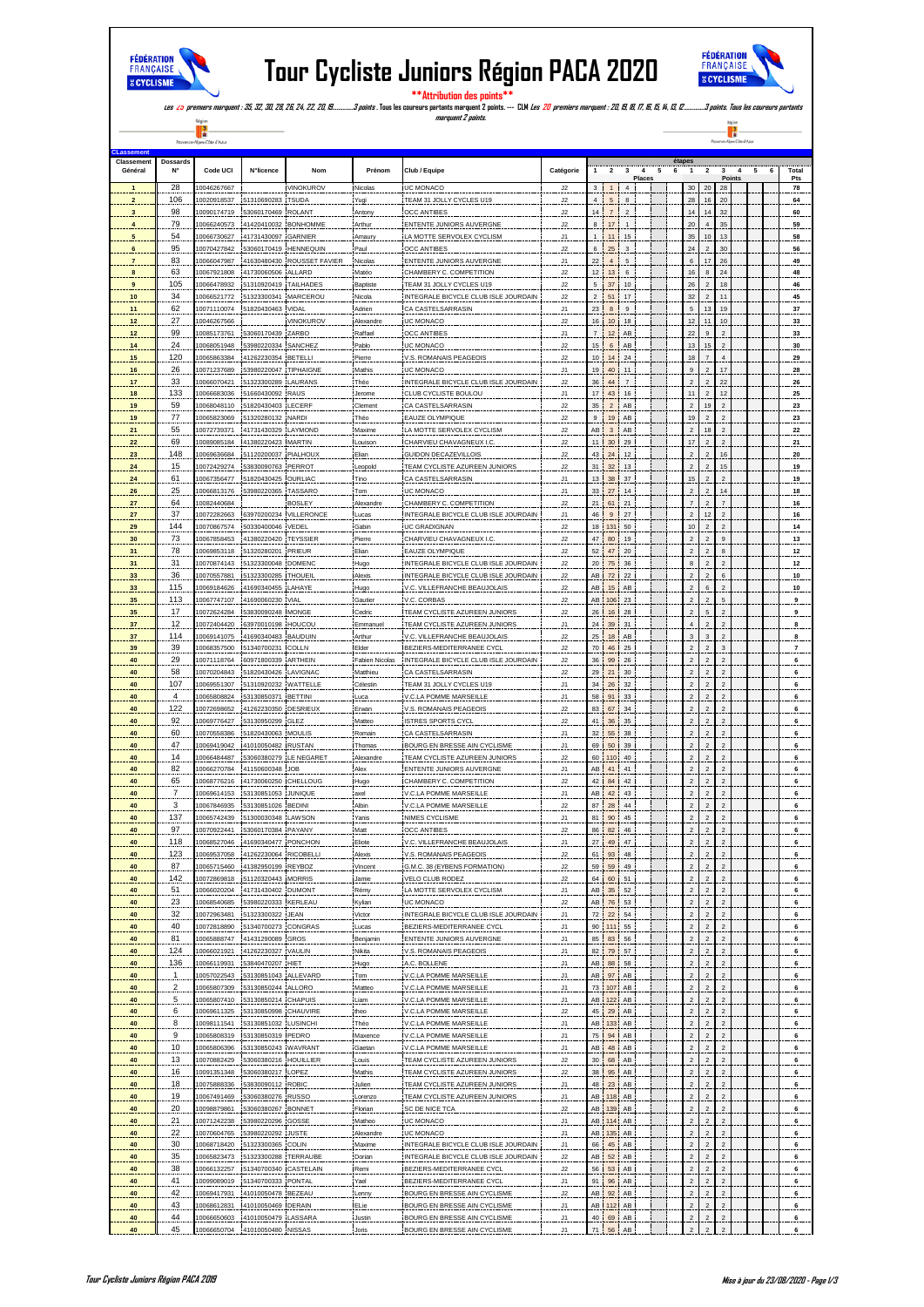

## **Tour Cycliste Juniors Région PACA 2020**



e d'Azu

 $-\frac{R(g)\alpha}{\frac{1}{R}}$  –

Prove

**étapes**

**\*\*Attribution des points\*\* Les 25 premiers marquent : 35, 32, 30, 28, 26, 24, 22, 20, 19…………..3 points . Tous les coureurs partants marquent 2 points. --- CLM Les 20 premiers marquent : 20, 19, 18, 17, 16, 15, 14, 13, 12…………..3 points. Tous les coureurs partants marquent 2 points.**

Ť Prove .<br>õte d'Azur **CLassement Class**<br> **Class Class** 

| Général          |                         | Code UCI                   | N°licence                                    | Nom                        | Prénom               | Club / Equipe                                           | Catégorie      |                       |                   | 3                 | Places |                              |                                  |                                    | <b>Points</b> |  | Total<br>Pts       |
|------------------|-------------------------|----------------------------|----------------------------------------------|----------------------------|----------------------|---------------------------------------------------------|----------------|-----------------------|-------------------|-------------------|--------|------------------------------|----------------------------------|------------------------------------|---------------|--|--------------------|
|                  | 28                      | 10046267667                |                                              | VINOKUROV                  | Nicolas              | UC MONACO                                               | J2             |                       |                   | $\overline{4}$    |        |                              | 20                               | 28                                 |               |  | 78                 |
|                  | 106                     | 10020918537                | 51310690283 TSUDA                            |                            | Yugi                 | TEAM 31 JOLLY CYCLES U19                                | J2             |                       | 5                 | 8                 |        |                              | 16                               | 20                                 |               |  | 64                 |
|                  | 98                      | 10090174719                | 53060170469 ROLANT                           |                            | Antony               | <b>OCC ANTIBES</b>                                      | J2             | 14 <sup>1</sup>       | $\scriptstyle{7}$ | $\overline{2}$    |        | 14                           | 14                               | 32                                 |               |  | 60                 |
|                  | 79                      | 10066240573                | 41420410032 BONHOMME                         |                            | <b>Arthur</b>        | <b>ENTENTE JUNIORS AUVERGNE</b>                         | J2             | 8                     | 17                | $\mathbf{1}$      |        | 20                           |                                  | 35                                 |               |  | 59                 |
|                  | 54                      | 10066730627                | 41731430097 GARNIER                          |                            | Amaury               | LA MOTTE SERVOLEX CYCLISM                               | J1             | $\mathbf{1}$          | 11                | 15                |        | 35                           | 10                               | 13                                 |               |  | 58                 |
|                  | 95                      | 10070427842                | 53060170419 HENNEQUIN                        |                            | Paul                 | OCC ANTIBES                                             | J2             | 6                     | 25                | $\mathsf 3$       |        | 24                           | $\overline{a}$                   | 30                                 |               |  | 56                 |
|                  | 83                      | 10066047987                |                                              | 41630480430 ROUSSET FAVIER | Nicolas              | ENTENTE JUNIORS AUVERGNE                                | J1             | $^{22}$               | $\overline{4}$    | 5                 |        | 6                            |                                  | 26                                 |               |  | 49                 |
|                  | 63                      | 10067921808                | 41730060506                                  | ALLARD                     | Matéo                | CHAMBERY C. COMPETITION                                 | J2             | 12                    | 13                | 6                 |        | 16                           |                                  | 24                                 |               |  | 48                 |
|                  | 105                     | 10066478932                | 51310920419                                  | <b>TAILHADES</b>           | Baptiste             | TEAM 31 JOLLY CYCLES U19                                | J2             | 5                     | 37                | 10                |        | 26                           | $\overline{a}$                   | 18                                 |               |  | 46                 |
| 10 <sub>1</sub>  | 34                      | 10066521772                | 51323300341 MARCEROU                         |                            | Nicola               | INTEGRALE BICYCLE CLUB ISLE JOURDAIN                    | J2             | $\mathbf 2$           | 51                | 17                |        | 32                           | $\overline{2}$                   | 11                                 |               |  | 45                 |
| 11               | 62                      | 10071110074                | 51820430463                                  | <b>VIDAL</b>               | Adrien               | CA CASTELSARRASIN                                       | J1             | 23                    | $\bf8$            | 9                 |        | 5                            | 13                               | 19                                 |               |  | 37                 |
| 12               | 27                      | 10046267566                |                                              | VINOKUROV                  | Alexandr             | UC MONACO                                               | J2             | 16                    | $10$              | 18                |        |                              | 1 <sup>1</sup>                   | 10                                 |               |  | 33                 |
| 12               | 99                      | 10085173761                | 53060170439 ZARBO                            |                            | Raffael              | <b>OCC ANTIBES</b>                                      | J1             |                       | 12                | AB.               |        |                              | 9                                |                                    |               |  | 33                 |
|                  | 24                      | 10068051948                | 53980220334                                  | SANCHEZ                    | Pablo                | <b>UC MONACO</b>                                        | J2             |                       | $\,$ 6            | AB                |        |                              | 15                               |                                    |               |  | 30                 |
| 15               | 120                     | 10065863384                | 41262230354 BETELLI                          |                            | Pierre               | V.S. ROMANAIS PEAGEOIS                                  | J2             | 10 <sup>1</sup>       | 14                | $\bf 24$          |        |                              |                                  |                                    |               |  | 29                 |
| 16               | 26                      | 10071237689                | 53980220047 TIPHAIGNE                        |                            | Mathis               | UC MONACO                                               | J1             | 19 <sup>1</sup>       | $40\,$            | 11                |        | 9                            | $\overline{a}$                   | 17                                 |               |  | 28                 |
| 17               | 33                      | 10066070421                | 51323300289 LAURANS                          |                            | Théo                 | INTEGRALE BICYCLE CLUB ISLE JOURDAIN                    | J2             | 36 <sup>1</sup>       | 44                | $\overline{7}$    |        |                              |                                  | 22                                 |               |  | 26                 |
| 18               | 133                     | 10066683036                | 51660430092 RAUS                             |                            | Jerome               | CLUB CYCLISTE BOULOU                                    | J1             | 17 <sup>1</sup>       | 43                | 16                |        |                              | $\overline{2}$                   | 12                                 |               |  | 25                 |
|                  | 59                      | 10068048110                | 51820430403 LECERF                           |                            | Clemen               | CA CASTELSARRASIN                                       | J2             | 35                    | $\sqrt{2}$        | AB.               |        |                              | 19                               | $\bar{2}$                          |               |  | 23                 |
| 19               | 77                      | 10065823069                | 51320280132 NARDI                            |                            | Théo                 | EAUZE OLYMPIQUE                                         | J2             | 9 <sup>1</sup>        | 19                | AB.               |        | 15                           |                                  | $\overline{2}$                     |               |  | 23                 |
| 21               | 55                      | 10072739371                | 41731430329 LAYMOND                          |                            | Maxime               | LA MOTTE SERVOLEX CYCLISM                               | J2             | AB                    | $\sqrt{3}$        | AB                |        | $\overline{2}$               | 18                               | $\overline{a}$                     |               |  | $^{22}$            |
| $\bf 22$         | 69                      | 10089085184                | 41380220423 MARTIN                           |                            | Louison              | CHARVIEU CHAVAGNEUX I.C.                                | $\sf J2$       | 11 <sup>1</sup>       | $30\,$            | $29\,$            |        |                              | $\overline{a}$                   | $\bar{2}$                          |               |  | 21                 |
| 23               | 148                     | 10069636684                | 51120200037 PIALHOUX                         |                            | Elian                | GUIDON DECAZEVILLOIS                                    | J2             | 43                    | 24                | 12                |        |                              |                                  | 16                                 |               |  | 20                 |
| 24               | 15                      | 10072429274                | 53830090763                                  | PERROT                     | Leopok               | <b>TEAM CYCLISTE AZUREEN JUNI</b>                       | J2             | 31                    | 32                | 13                |        |                              |                                  | 15                                 |               |  | 19                 |
| ${\bf 24}$       | 61                      | 10067356477                | 51820430425                                  | OURLIAC                    | Tino                 | CA CASTELSARRASIN                                       | J1             | 13                    | $38\,$            | 37                |        |                              |                                  | $\bar{2}$                          |               |  | 19                 |
| $26\phantom{.0}$ | 25                      | 10066813176                | 53980220365                                  | TASSARO                    | Tom                  | UC MONACO                                               | J1             | $_{\rm 33}$           | $27\,$            | 14                |        | $\overline{2}$               | $\overline{c}$                   | 14                                 |               |  | 18                 |
| ${\bf 27}$       | 64                      | 10082440684                |                                              | <b>BOSLEY</b>              | Alexandr             | CHAMBERY C. COMPETITION                                 | J2             | 21                    | 61                | 21                |        |                              | $\overline{a}$                   |                                    |               |  | 16                 |
| 27               | 37                      | 10072282663                | 63970200234 VILLERONCE                       |                            | Lucas                | INTEGRALE BICYCLE CLUB ISLE JOURDAIN                    | J1             | 46                    | $\boldsymbol{9}$  | $27\,$            |        | $\overline{a}$               | 12                               | $\overline{2}$                     |               |  | 16                 |
| 29               | 144                     | 10070867574                | 50330400046 VEDEL                            |                            | Gabin                | <b>UC GRADIGNAN</b>                                     | J2             | 18                    | 131               | 50                |        | 10                           | $\overline{c}$                   |                                    |               |  | 14                 |
| 30               | 73                      | 10067858453                | 41380220420 TEYSSIER                         |                            | Pierre               | CHARVIEU CHAVAGNEUX I.C                                 | J2             | 47 <sup>1</sup>       | 80                | 19                |        |                              |                                  | $\mathbf{q}$                       |               |  | 13                 |
| 31               | 78                      | 10069853118                | 51320280201 PRIEUR                           |                            | Elian                | EAUZE OLYMPIQUE                                         | J2             | 52 <sub>1</sub>       | $47\,$            | 20                |        |                              | $\overline{2}$                   | 8                                  |               |  | 12                 |
| 31               | 31                      | 10070874143                | 51323300048 DOMENC                           |                            | Hugo                 | INTEGRALE BICYCLE CLUB ISLE JOURDAIN                    | J2             | 20 <sup>1</sup>       | ${\bf 75}$        | $_{\rm 36}$       |        | 8                            | $\overline{2}$                   | $\mathfrak{p}$                     |               |  | $12$               |
| 33               | 36                      | 10070557881                | 51323300285 THOUEIL                          |                            | Alexis               | INTEGRALE BICYCLE CLUB ISLE JOURDAIN                    | J2             |                       | AB 72             | $\bf 22$          |        | $\overline{a}$               | $\overline{2}$                   | 6                                  |               |  | $10\,$             |
| 33               | 115                     | 10069184626                | 41690340455 LAHAYE                           |                            | Hugo                 | V.C. VILLEFRANCHE BEAUJOLAIS                            | J2             | AB                    | 15                | $\mathsf{AB}$     |        |                              | 6                                |                                    |               |  | 10                 |
| 35               | 113                     | 10067747107                | 41690060230 VIAL                             |                            | Gautier              | V.C. CORBAS                                             | J2             |                       | AB 106            | 23                |        |                              |                                  | 5                                  |               |  | 9                  |
| 35               | 17                      | 10072624284                | 53830090248 MONGE                            |                            | Cedric               | TEAM CYCLISTE AZUREEN JUNIORS                           | J2             | 26                    | 16                | 28                |        | $\overline{a}$               | 5                                | $\boldsymbol{2}$                   |               |  | 9                  |
| 37               | 12                      | 10072404420                | 63970010198 HOUCOU                           |                            | Emmanue              | TEAM CYCLISTE AZUREEN JUNIORS                           | J1             | 24 <sub>1</sub>       | $39\,$            | 31                |        |                              | $\overline{a}$                   | $\overline{2}$                     |               |  |                    |
| 37               | 114                     | 10069141075                | 41690340483 BAUDUIN                          |                            | Arthur               | V.C. VILLEFRANCHE BEAUJOLAIS                            | J2             | $25\,$                | $18\,$            | $\mathsf{AB}$     |        | 3                            | 3                                | $\sqrt{2}$                         |               |  | 8                  |
| 39               | 39                      | 10068357500<br>10071118764 | 51340700231 COLLN                            |                            | Elder                | BEZIERS-MEDITERRANEE CYCL                               | J2             | 70                    | 46                | 25                |        |                              |                                  |                                    |               |  |                    |
| 40               | 29                      |                            | 60971800339 ARTHEIN                          |                            | Fabien Nicola        | INTEGRALE BICYCLE CLUB ISLE JOURDAIN                    | J2             | 36                    | 99                | 26                |        |                              |                                  | $\mathfrak{p}$                     |               |  |                    |
| 40<br>40         | 58<br>107               | 10070204843                | 51820430426 LAVIGNAC                         |                            | Matthieu<br>Célestin | CA CASTELSARRASIN                                       | J2             | 29<br>34              | 21                | $30\,$            |        | $\overline{a}$               | $\overline{2}$<br>$\overline{a}$ | $\bar{2}$                          |               |  |                    |
| 40               | 4                       | 10069551307<br>10065808824 | 51310920232 WATTELLE<br>53130850371 BETTINI  |                            | Luca                 | TEAM 31 JOLLY CYCLES U19<br>V.C.LA POMME MARSEILLE      | J1             | 58                    | ${\bf 26}$        | 32                |        | $\overline{c}$               | $\overline{2}$                   | $\sqrt{2}$                         |               |  | 6                  |
| 40               | 122                     | 10072698652                | 41262230350                                  | <b>DESRIEU</b>             | Erwan                | V.S. ROMANAIS PEAGEOIS                                  | J1<br>J2       | 83                    | 91<br>67          | 33<br>34          |        |                              |                                  |                                    |               |  |                    |
| 40               | 92                      | 10069776427                | 53130950299                                  | GLEZ                       | Matteo               | <b>ISTRES SPORTS CYCL</b>                               | J2             | 41                    | 36                | 35                |        |                              |                                  | $\overline{2}$                     |               |  |                    |
| 40               | 60                      | 10070558386                | 51820430063 MOULIS                           |                            | Romain               | CA CASTELSARRASIN                                       | J1             | 32                    | 55                | 38                |        | $\overline{a}$               | $\overline{a}$                   | $\boldsymbol{2}$                   |               |  |                    |
| 40               | 47                      | 10069419042                | 41010050482 RUSTAN                           |                            | Thomas               | BOURG EN BRESSE AIN CYCLISME                            | J1             | 69                    | 50                | $39\,$            |        |                              |                                  | $\mathfrak{p}$                     |               |  |                    |
| 40               | 14                      | 10066484487                | 53060380279                                  | LE NEGARE                  | Alexandre            | TEAM CYCLISTE AZUREEN JUNIORS                           | J2             |                       | 60 110            | $40\,$            |        | $\overline{a}$               | $\overline{2}$                   | $\overline{2}$                     |               |  |                    |
| 40               | 82                      | 10066270784                | 41150600348 JOB                              |                            | Alex                 | <b>ENTENTE JUNIORS AUVERGNE</b>                         | J1             | AB.                   | 41                | 41                |        |                              |                                  |                                    |               |  |                    |
| 40               | 65                      | 10068776216                | 41730060250 CHELLOUG                         |                            | Hugo                 | CHAMBERY C. COMPETITION                                 | J2             | 42 <sup>1</sup>       | 84                | 42                |        |                              |                                  |                                    |               |  |                    |
| 40               | $\mathcal{I}$           | 10069614153                | 53130851053 JUNIQUE                          |                            | axel                 | <b>V.C.LA POMME MARSEILLE</b>                           | J1             | AB.                   | 42                | 43                |        | $\overline{2}$               | $\overline{c}$                   | $\overline{2}$                     |               |  |                    |
| 40               | $\overline{\mathbf{3}}$ | 10067846935                | 53130851026 BEDINI                           |                            | Albin                | V.C.LA POMME MARSEILLE                                  | $\sf J2$       | 87                    | ${\bf 28}$        | $44 \overline{ }$ |        | $\overline{2}$               | $\overline{a}$                   | $\sqrt{2}$                         |               |  |                    |
| 40               | 137                     | 10065742439                | 51300030348 LAWSON                           |                            | Yanis                | NIMES CYCLISME                                          | J1             | 81                    | 90                | 45                |        | $\overline{c}$               | $\overline{2}$                   | $\sqrt{2}$                         |               |  |                    |
| 40               | 97                      | 10070922441                | 53060170384                                  | PAYANY                     | Matt                 | OCC ANTIBES                                             | J2             | 86                    | 82                | $\bf 46$          |        |                              | $\overline{\mathbf{c}}$          |                                    |               |  |                    |
| 40               | 118                     | 10068527046                | 41690340477 PONCHON                          |                            | Eliote               | V.C. VILLEFRANCHE BEAUJOLAIS                            | J1             |                       | 49                | 47                |        |                              |                                  | $\overline{2}$                     |               |  |                    |
|                  | 123                     | 10069537058                | 41262230064 RICOBELLI                        |                            | Alexis               | <u>V.S. ROMANAIS PEAGEOIS</u>                           | J2             | 61                    | 93                | 48                |        |                              |                                  |                                    |               |  |                    |
|                  | 87                      | 065715460                  |                                              |                            |                      |                                                         |                |                       |                   |                   |        |                              |                                  |                                    |               |  |                    |
| 40               | 142                     | 10072869818                | 51120320443 MORRIS                           |                            | Jamie                | VELO CLUB RODEZ                                         | J2             | 64                    |                   | 60 51             |        | $\overline{2}$               | $\sqrt{2}$                       | $\sqrt{2}$                         |               |  | $6_{-}$            |
| 40               | 51                      | 10066020204                | 41731430402 DUMONT                           |                            | Rémy                 | LA MOTTE SERVOLEX CYCLISM                               | J1             | AB                    |                   | 35 52             |        | $\sqrt{2}$                   | $\sqrt{2}$                       | $\overline{2}$                     |               |  | $6_{-}$            |
| 40               | 23                      | 10068540685                | 3980220333                                   | KERLEAU                    | Kylian               | UC MONACO                                               | J2             |                       | AB 76 53          |                   |        | $\overline{2}$               | $\overline{a}$                   | $\sqrt{2}$                         |               |  | $6_{-}$            |
| 40               | 32                      | 10072963481                | 51323300322 JEAN                             |                            | Victor               | INTEGRALE BICYCLE CLUB ISLE JOURDAIN                    | J1             | 72                    |                   | 22 54             |        | $\overline{\mathbf{c}}$      | $\overline{\mathbf{c}}$          |                                    |               |  | $6_{-}$            |
| 40               | 40                      | 10072818890                | 51340700273 CONGRAS                          |                            | Lucas                | BEZIERS-MEDITERRANEE CYCL                               | J1             |                       | 90 111 55         |                   |        | $\sqrt{2}$                   | $\sqrt{2}$                       | $\sqrt{2}$                         |               |  | 6                  |
| 40               | 81                      | 10065888747                | 41431290089 GROS                             |                            | Benjamin             | ENTENTE JUNIORS AUVERGNE                                | J1             |                       | 85 83 56          |                   |        | $\sqrt{2}$                   | $\overline{a}$                   | $\boldsymbol{2}$                   |               |  | 6                  |
| 40               | 124                     | 10066021921                | 41262230327 VAULIN                           |                            | Nikita               | V.S. ROMANAIS PEAGEOIS                                  | J1             |                       | 82 79 57          |                   |        | $\overline{2}$               | $\overline{c}$                   | $\sqrt{2}$                         |               |  | $6_{-}$            |
| 40               | 136                     | 10066119931                | 3840470207 HIET                              |                            | Hugo                 | A.C. BOLLENE                                            | J1             | AB !                  | 88                | 58                |        | $\overline{a}$               | $\mathfrak{p}$                   | $\sqrt{2}$                         |               |  | 6                  |
| 40               | 1                       | 10057022543                | 53130851043 ALLEVARD                         |                            | Tom.                 | V.C.LA POMME MARSEILLE                                  | J1             |                       | AB 97 AB          |                   |        | $\overline{\mathbf{c}}$      | $\overline{a}$                   | $\boldsymbol{2}$                   |               |  | $6_{-}$            |
| 40               | $\overline{2}$          | 10065807309                | 53130850244 ALLORO                           |                            | Matteo               | V.C.LA POMME MARSEILLE                                  | J1             | 73                    | 107               | AB.               |        |                              | $\overline{a}$                   |                                    |               |  | $6_{-}$            |
| 40               | 5                       | 10065807410                | 53130850214 CHAPUIS                          |                            | Liam                 | V.C.LA POMME MARSEILLE                                  | J1             |                       | AB 122 AB         |                   |        | $\overline{2}$               | $\overline{c}$                   | $\sqrt{2}$                         |               |  | $6_{-}$            |
| 40               | 6                       | 10069611325                | 53130850998 CHAUVIRE                         |                            | theo                 | V.C.LA POMME MARSEILLE                                  | J2             | 45 <sub>1</sub>       |                   | 29 AB             |        | $\sqrt{2}$                   | $\overline{\mathbf{c}}$          | $\sqrt{2}$                         |               |  | $6_{-}$            |
| 40               | 8                       | 10098111541                | 53130851032 LUSINCHI                         |                            | Théo                 | V.C.LA POMME MARSEILLE                                  | J1             |                       | AB 133 AB         |                   |        | $\overline{2}$               | $\overline{a}$                   | $\sqrt{2}$                         |               |  | 6                  |
| 40               | 9                       | 10065808319                | 53130850319 PEDRO                            |                            | Maxence              | <b>V.C.LA POMME MARSEILLE</b>                           | J1             | 75 <sub>1</sub>       | 94                | AB.               |        | $\overline{\mathbf{c}}$      | $\overline{\mathbf{c}}$          | $\overline{\mathbf{c}}$            |               |  | $6_{-}$            |
| 40<br>40         | 10<br>13                | 10065806396<br>10070882429 | 53130850243 WAVRANT<br>53060380216 HOUILLIER |                            | Gaetan<br>Louis      | V.C.LA POMME MARSEILLE<br>TEAM CYCLISTE AZUREEN JUNIORS | J1<br>J2       | AB<br>30 <sup>1</sup> | 48<br>68          | AB.<br>AB.        |        | $\overline{a}$<br>$\sqrt{2}$ | $\overline{c}$<br>$\overline{a}$ | $\overline{2}$<br>$\boldsymbol{2}$ |               |  | $6_{-}$<br>$6_{-}$ |
| 40               | 16                      | 10091351348                | 53060380217                                  | LOPEZ                      | Mathis               | TEAM CYCLISTE AZUREEN JUNIORS                           |                | 38                    | 95                | $\mathsf{AB}$     |        | $\overline{a}$               | $\overline{c}$                   | $\sqrt{2}$                         |               |  |                    |
| 40               | 18                      | 10075888336                | 53830090112 ROBIC                            |                            | Julien               | TEAM CYCLISTE AZUREEN JUNIORS                           | J2<br>J1       | 48                    |                   | 23 AB             |        | $\overline{a}$               | $\overline{\mathbf{c}}$          | $\sqrt{2}$                         |               |  | $6_{-}$            |
| 40               | 19                      | 10067491469                | 53060380276 RUSSO                            |                            | Lorenzo              | TEAM CYCLISTE AZUREEN JUNIORS                           | J1             |                       | AB 118 AB         |                   |        | $\overline{\mathbf{c}}$      | $\overline{\mathbf{c}}$          | $\overline{\mathbf{c}}$            |               |  | 6<br>$6_{-}$       |
| 40               | 20                      | 10098879861                | 53060380267                                  | <b>BONNET</b>              | Florian              | SC DE NICE TCA                                          | J2             | AB                    | 139               | AB.               |        |                              | $\overline{c}$                   |                                    |               |  |                    |
| 40               | 21                      | 10071242238                | 53980220296 GOSSE                            |                            | Matheo               | UC MONACO                                               | J1             |                       | AB 114            | AB                |        | $\overline{c}$               | $\overline{a}$                   | $\sqrt{2}$                         |               |  | $6_{-}$<br>$6_{-}$ |
| 40               | 22                      | 10070604765                | 53980220292 JUSTE                            |                            | Alexandre            | UC MONACO                                               | J1             |                       | AB 135 AB         |                   |        | $\sqrt{2}$                   | $\overline{\mathbf{c}}$          | $\sqrt{2}$                         |               |  | $6_{-}$            |
| 40               | 30                      | 10068718420                | 51323300365 COLIN                            |                            | Maxime               | INTEGRALE BICYCLE CLUB ISLE JOURDAIN                    | J1             | 66                    |                   | 45 AB             |        | $\overline{2}$               | $\overline{2}$                   | $\overline{c}$                     |               |  | 6                  |
| 40               | 35                      | 10065823473                | 51323300288 TERRAUBE                         |                            | Dorian               | INTEGRALE BICYCLE CLUB ISLE JOURDAIN                    | J2             | AB                    |                   | 52 AB             |        | $\overline{a}$               | $\overline{2}$                   | $\sqrt{2}$                         |               |  | 6                  |
| 40               | 38                      | 10066132257                | 51340700340 CASTELAIN                        |                            | Remi                 | BEZIERS-MEDITERRANEE CYCL                               | J2             | 56 <sup>1</sup>       | 53                | AB.               |        | $\overline{a}$               | $\overline{c}$                   | $\mathfrak{p}$                     |               |  | $6_{-}$            |
| 40               | 41                      | 10099089019                | 51340700333 PONTAL                           |                            | Yael                 | BEZIERS-MEDITERRANEE CYCL                               | J1             | 91                    | 96                | AB                |        | $\sqrt{2}$                   | $\overline{a}$                   | $\sqrt{2}$                         |               |  | $6_{-}$            |
| 40               | 42                      | 10069417931                | 41010050478 BEZEAU                           |                            | Lenny                | BOURG EN BRESSE AIN CYCLISME                            | J2             | AB .                  |                   | 92 AB             |        | $\overline{2}$               | $\overline{c}$                   | $\sqrt{2}$                         |               |  | $6_{-}$            |
| 40               | 43                      | 10068612831                | 41010050469 DERAIN                           |                            | ELie                 | BOURG EN BRESSE AIN CYCLISME                            | J1             |                       | AB 112 AB         |                   |        | $\sqrt{2}$                   | $\boldsymbol{2}$                 | $\boldsymbol{2}$                   |               |  | $6_{-}$            |
| 40               | 44                      |                            | 10066650603 41010050479 LASSARA              |                            | Justin               | BOURG EN BRESSE AIN CYCLISME                            | J1             | 40 <sup>1</sup>       |                   | 69 AB             |        | $\overline{\mathbf{c}}$      | $\overline{c}$                   | $\overline{c}$                     |               |  | $6_{-}$            |
| 40               | 45                      |                            | 10066650704 41010050480 NISSAS               |                            | <b>Joris</b>         | BOURG EN BRESSE AIN CYCLISME                            | J <sub>1</sub> | 71 L                  |                   | 56 AB             |        | $\overline{2}$               | $\overline{a}$                   |                                    |               |  |                    |
|                  |                         |                            |                                              |                            |                      |                                                         |                |                       |                   |                   |        |                              |                                  |                                    |               |  |                    |